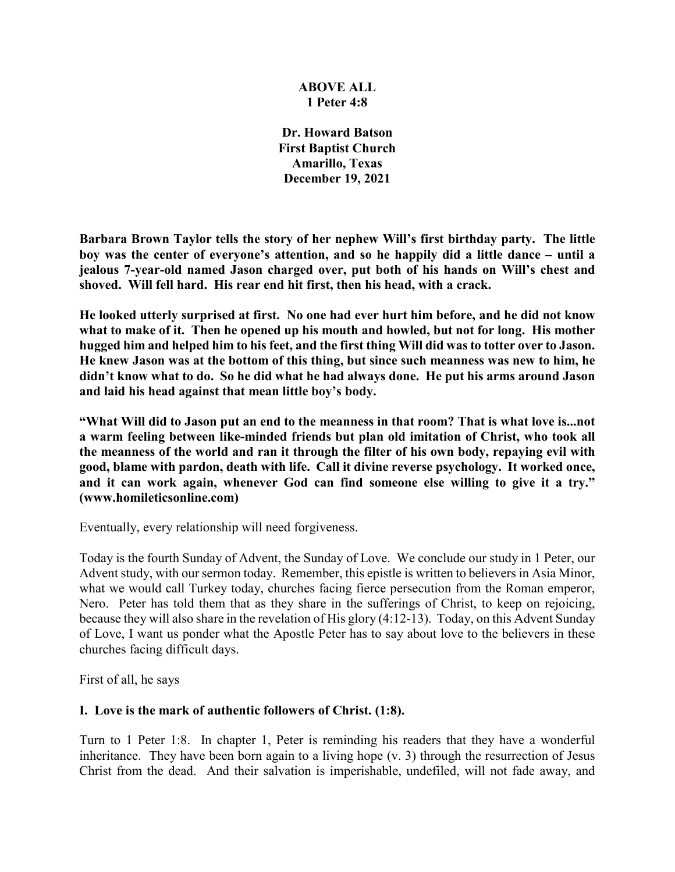### **ABOVE ALL 1 Peter 4:8**

**Dr. Howard Batson First Baptist Church Amarillo, Texas December 19, 2021**

**Barbara Brown Taylor tells the story of her nephew Will's first birthday party. The little boy was the center of everyone's attention, and so he happily did a little dance – until a jealous 7-year-old named Jason charged over, put both of his hands on Will's chest and shoved. Will fell hard. His rear end hit first, then his head, with a crack.**

**He looked utterly surprised at first. No one had ever hurt him before, and he did not know what to make of it. Then he opened up his mouth and howled, but not for long. His mother hugged him and helped him to his feet, and the first thing Will did was to totter over to Jason. He knew Jason was at the bottom of this thing, but since such meanness was new to him, he didn't know what to do. So he did what he had always done. He put his arms around Jason and laid his head against that mean little boy's body.**

**"What Will did to Jason put an end to the meanness in that room? That is what love is...not a warm feeling between like-minded friends but plan old imitation of Christ, who took all the meanness of the world and ran it through the filter of his own body, repaying evil with good, blame with pardon, death with life. Call it divine reverse psychology. It worked once, and it can work again, whenever God can find someone else willing to give it a try." (www.homileticsonline.com)**

Eventually, every relationship will need forgiveness.

Today is the fourth Sunday of Advent, the Sunday of Love. We conclude our study in 1 Peter, our Advent study, with our sermon today. Remember, this epistle is written to believers in Asia Minor, what we would call Turkey today, churches facing fierce persecution from the Roman emperor, Nero. Peter has told them that as they share in the sufferings of Christ, to keep on rejoicing, because they will also share in the revelation of His glory (4:12-13). Today, on this Advent Sunday of Love, I want us ponder what the Apostle Peter has to say about love to the believers in these churches facing difficult days.

First of all, he says

# **I. Love is the mark of authentic followers of Christ. (1:8).**

Turn to 1 Peter 1:8. In chapter 1, Peter is reminding his readers that they have a wonderful inheritance. They have been born again to a living hope (v. 3) through the resurrection of Jesus Christ from the dead. And their salvation is imperishable, undefiled, will not fade away, and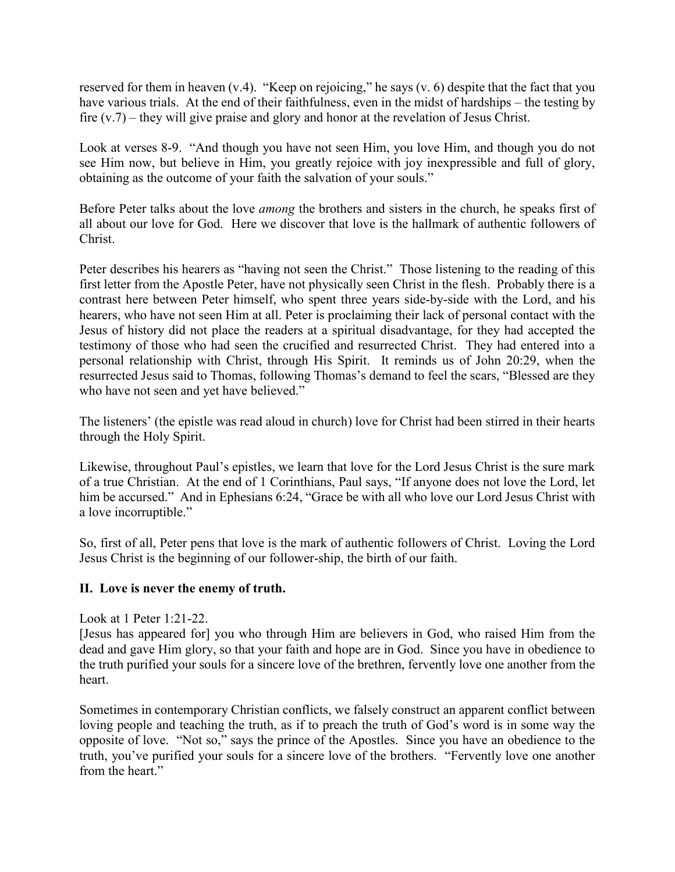reserved for them in heaven (v.4). "Keep on rejoicing," he says (v. 6) despite that the fact that you have various trials. At the end of their faithfulness, even in the midst of hardships – the testing by fire (v.7) – they will give praise and glory and honor at the revelation of Jesus Christ.

Look at verses 8-9. "And though you have not seen Him, you love Him, and though you do not see Him now, but believe in Him, you greatly rejoice with joy inexpressible and full of glory, obtaining as the outcome of your faith the salvation of your souls."

Before Peter talks about the love *among* the brothers and sisters in the church, he speaks first of all about our love for God. Here we discover that love is the hallmark of authentic followers of Christ.

Peter describes his hearers as "having not seen the Christ." Those listening to the reading of this first letter from the Apostle Peter, have not physically seen Christ in the flesh. Probably there is a contrast here between Peter himself, who spent three years side-by-side with the Lord, and his hearers, who have not seen Him at all. Peter is proclaiming their lack of personal contact with the Jesus of history did not place the readers at a spiritual disadvantage, for they had accepted the testimony of those who had seen the crucified and resurrected Christ. They had entered into a personal relationship with Christ, through His Spirit. It reminds us of John 20:29, when the resurrected Jesus said to Thomas, following Thomas's demand to feel the scars, "Blessed are they who have not seen and yet have believed."

The listeners' (the epistle was read aloud in church) love for Christ had been stirred in their hearts through the Holy Spirit.

Likewise, throughout Paul's epistles, we learn that love for the Lord Jesus Christ is the sure mark of a true Christian. At the end of 1 Corinthians, Paul says, "If anyone does not love the Lord, let him be accursed." And in Ephesians 6:24, "Grace be with all who love our Lord Jesus Christ with a love incorruptible."

So, first of all, Peter pens that love is the mark of authentic followers of Christ. Loving the Lord Jesus Christ is the beginning of our follower-ship, the birth of our faith.

# **II. Love is never the enemy of truth.**

Look at 1 Peter 1:21-22.

[Jesus has appeared for] you who through Him are believers in God, who raised Him from the dead and gave Him glory, so that your faith and hope are in God. Since you have in obedience to the truth purified your souls for a sincere love of the brethren, fervently love one another from the heart.

Sometimes in contemporary Christian conflicts, we falsely construct an apparent conflict between loving people and teaching the truth, as if to preach the truth of God's word is in some way the opposite of love. "Not so," says the prince of the Apostles. Since you have an obedience to the truth, you've purified your souls for a sincere love of the brothers. "Fervently love one another from the heart."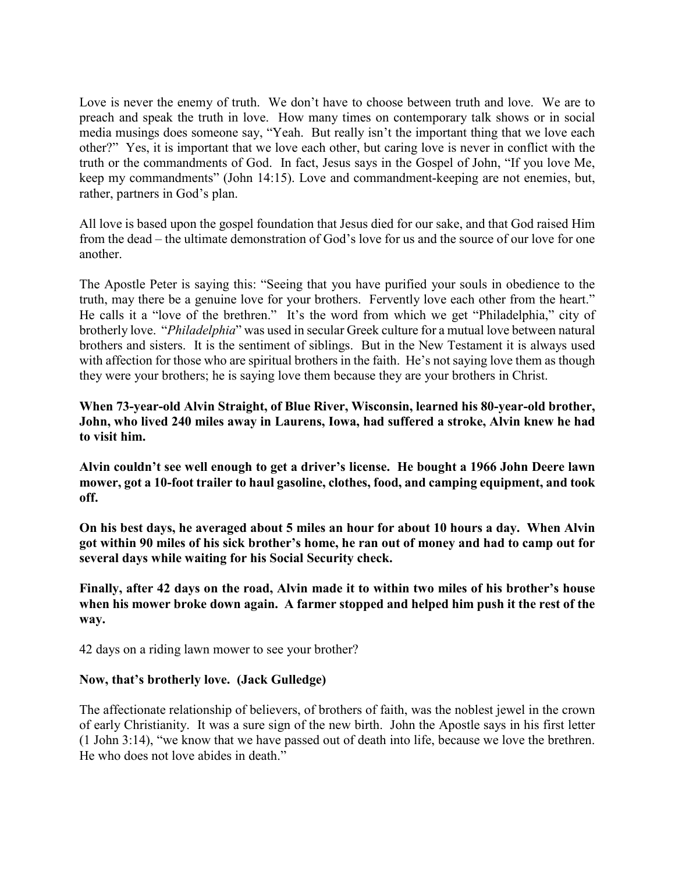Love is never the enemy of truth. We don't have to choose between truth and love. We are to preach and speak the truth in love. How many times on contemporary talk shows or in social media musings does someone say, "Yeah. But really isn't the important thing that we love each other?" Yes, it is important that we love each other, but caring love is never in conflict with the truth or the commandments of God. In fact, Jesus says in the Gospel of John, "If you love Me, keep my commandments" (John 14:15). Love and commandment-keeping are not enemies, but, rather, partners in God's plan.

All love is based upon the gospel foundation that Jesus died for our sake, and that God raised Him from the dead – the ultimate demonstration of God's love for us and the source of our love for one another.

The Apostle Peter is saying this: "Seeing that you have purified your souls in obedience to the truth, may there be a genuine love for your brothers. Fervently love each other from the heart." He calls it a "love of the brethren." It's the word from which we get "Philadelphia," city of brotherly love. "*Philadelphia*" was used in secular Greek culture for a mutual love between natural brothers and sisters. It is the sentiment of siblings. But in the New Testament it is always used with affection for those who are spiritual brothers in the faith. He's not saying love them as though they were your brothers; he is saying love them because they are your brothers in Christ.

**When 73-year-old Alvin Straight, of Blue River, Wisconsin, learned his 80-year-old brother, John, who lived 240 miles away in Laurens, Iowa, had suffered a stroke, Alvin knew he had to visit him.**

**Alvin couldn't see well enough to get a driver's license. He bought a 1966 John Deere lawn mower, got a 10-foot trailer to haul gasoline, clothes, food, and camping equipment, and took off.**

**On his best days, he averaged about 5 miles an hour for about 10 hours a day. When Alvin got within 90 miles of his sick brother's home, he ran out of money and had to camp out for several days while waiting for his Social Security check.**

**Finally, after 42 days on the road, Alvin made it to within two miles of his brother's house when his mower broke down again. A farmer stopped and helped him push it the rest of the way.** 

42 days on a riding lawn mower to see your brother?

# **Now, that's brotherly love. (Jack Gulledge)**

The affectionate relationship of believers, of brothers of faith, was the noblest jewel in the crown of early Christianity. It was a sure sign of the new birth. John the Apostle says in his first letter (1 John 3:14), "we know that we have passed out of death into life, because we love the brethren. He who does not love abides in death."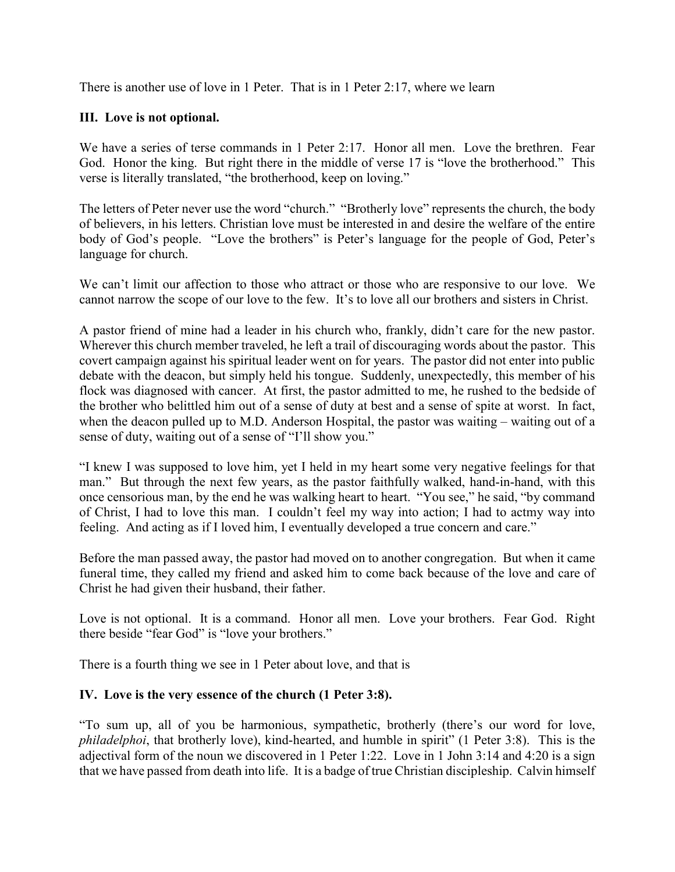There is another use of love in 1 Peter. That is in 1 Peter 2:17, where we learn

### **III. Love is not optional.**

We have a series of terse commands in 1 Peter 2:17. Honor all men. Love the brethren. Fear God. Honor the king. But right there in the middle of verse 17 is "love the brotherhood." This verse is literally translated, "the brotherhood, keep on loving."

The letters of Peter never use the word "church." "Brotherly love" represents the church, the body of believers, in his letters. Christian love must be interested in and desire the welfare of the entire body of God's people. "Love the brothers" is Peter's language for the people of God, Peter's language for church.

We can't limit our affection to those who attract or those who are responsive to our love. We cannot narrow the scope of our love to the few. It's to love all our brothers and sisters in Christ.

A pastor friend of mine had a leader in his church who, frankly, didn't care for the new pastor. Wherever this church member traveled, he left a trail of discouraging words about the pastor. This covert campaign against his spiritual leader went on for years. The pastor did not enter into public debate with the deacon, but simply held his tongue. Suddenly, unexpectedly, this member of his flock was diagnosed with cancer. At first, the pastor admitted to me, he rushed to the bedside of the brother who belittled him out of a sense of duty at best and a sense of spite at worst. In fact, when the deacon pulled up to M.D. Anderson Hospital, the pastor was waiting – waiting out of a sense of duty, waiting out of a sense of "I'll show you."

"I knew I was supposed to love him, yet I held in my heart some very negative feelings for that man." But through the next few years, as the pastor faithfully walked, hand-in-hand, with this once censorious man, by the end he was walking heart to heart. "You see," he said, "by command of Christ, I had to love this man. I couldn't feel my way into action; I had to actmy way into feeling. And acting as if I loved him, I eventually developed a true concern and care."

Before the man passed away, the pastor had moved on to another congregation. But when it came funeral time, they called my friend and asked him to come back because of the love and care of Christ he had given their husband, their father.

Love is not optional. It is a command. Honor all men. Love your brothers. Fear God. Right there beside "fear God" is "love your brothers."

There is a fourth thing we see in 1 Peter about love, and that is

# **IV. Love is the very essence of the church (1 Peter 3:8).**

"To sum up, all of you be harmonious, sympathetic, brotherly (there's our word for love, *philadelphoi*, that brotherly love), kind-hearted, and humble in spirit" (1 Peter 3:8). This is the adjectival form of the noun we discovered in 1 Peter 1:22. Love in 1 John 3:14 and 4:20 is a sign that we have passed from death into life. It is a badge of true Christian discipleship. Calvin himself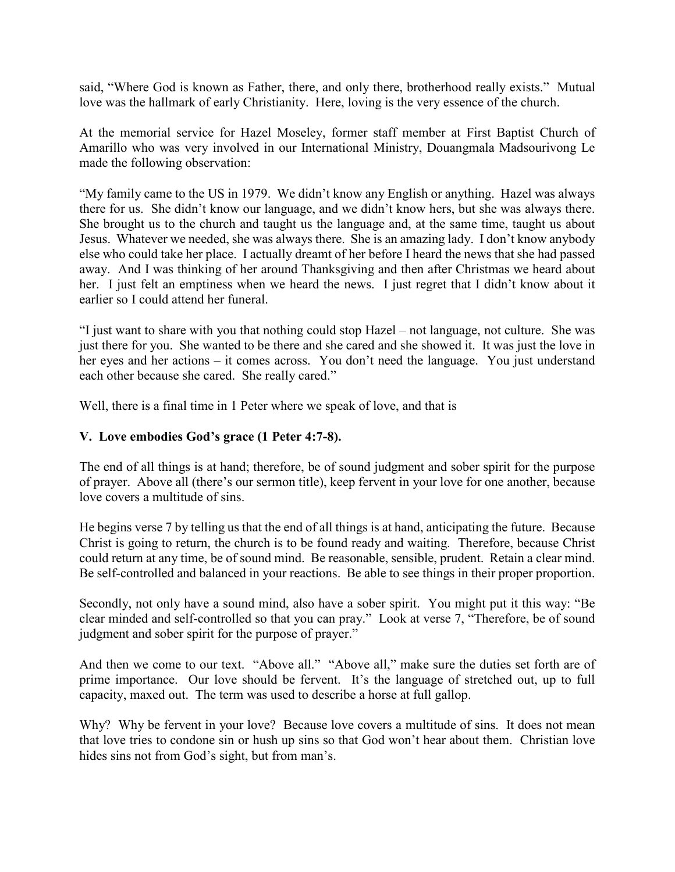said, "Where God is known as Father, there, and only there, brotherhood really exists." Mutual love was the hallmark of early Christianity. Here, loving is the very essence of the church.

At the memorial service for Hazel Moseley, former staff member at First Baptist Church of Amarillo who was very involved in our International Ministry, Douangmala Madsourivong Le made the following observation:

"My family came to the US in 1979. We didn't know any English or anything. Hazel was always there for us. She didn't know our language, and we didn't know hers, but she was always there. She brought us to the church and taught us the language and, at the same time, taught us about Jesus. Whatever we needed, she was always there. She is an amazing lady. I don't know anybody else who could take her place. I actually dreamt of her before I heard the news that she had passed away. And I was thinking of her around Thanksgiving and then after Christmas we heard about her. I just felt an emptiness when we heard the news. I just regret that I didn't know about it earlier so I could attend her funeral.

"I just want to share with you that nothing could stop Hazel – not language, not culture. She was just there for you. She wanted to be there and she cared and she showed it. It was just the love in her eyes and her actions – it comes across. You don't need the language. You just understand each other because she cared. She really cared."

Well, there is a final time in 1 Peter where we speak of love, and that is

# **V. Love embodies God's grace (1 Peter 4:7-8).**

The end of all things is at hand; therefore, be of sound judgment and sober spirit for the purpose of prayer. Above all (there's our sermon title), keep fervent in your love for one another, because love covers a multitude of sins.

He begins verse 7 by telling us that the end of all things is at hand, anticipating the future. Because Christ is going to return, the church is to be found ready and waiting. Therefore, because Christ could return at any time, be of sound mind. Be reasonable, sensible, prudent. Retain a clear mind. Be self-controlled and balanced in your reactions. Be able to see things in their proper proportion.

Secondly, not only have a sound mind, also have a sober spirit. You might put it this way: "Be clear minded and self-controlled so that you can pray." Look at verse 7, "Therefore, be of sound judgment and sober spirit for the purpose of prayer."

And then we come to our text. "Above all." "Above all," make sure the duties set forth are of prime importance. Our love should be fervent. It's the language of stretched out, up to full capacity, maxed out. The term was used to describe a horse at full gallop.

Why? Why be fervent in your love? Because love covers a multitude of sins. It does not mean that love tries to condone sin or hush up sins so that God won't hear about them. Christian love hides sins not from God's sight, but from man's.